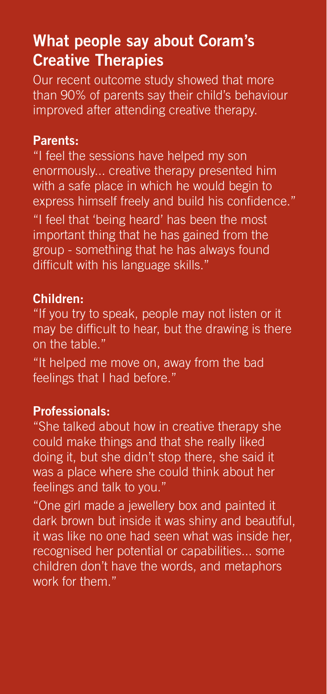## **What people say about Coram's Creative Therapies**

Our recent outcome study showed that more than 90% of parents say their child's behaviour improved after attending creative therapy.

#### **Parents:**

"I feel the sessions have helped my son enormously... creative therapy presented him with a safe place in which he would begin to express himself freely and build his confidence." "I feel that 'being heard' has been the most important thing that he has gained from the group - something that he has always found difficult with his language skills."

#### **Children:**

"If you try to speak, people may not listen or it may be difficult to hear, but the drawing is there on the table."

"It helped me move on, away from the bad feelings that I had before."

#### **Professionals:**

"She talked about how in creative therapy she could make things and that she really liked doing it, but she didn't stop there, she said it was a place where she could think about her feelings and talk to you."

"One girl made a jewellery box and painted it dark brown but inside it was shiny and beautiful, it was like no one had seen what was inside her, recognised her potential or capabilities... some children don't have the words, and metaphors work for them."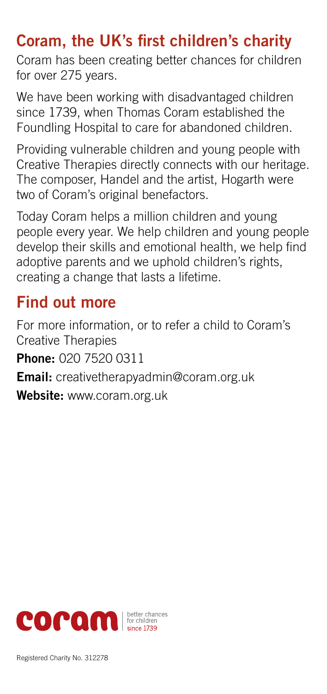# **Coram, the UK's first children's charity**

Coram has been creating better chances for children for over 275 years.

We have been working with disadvantaged children since 1739, when Thomas Coram established the Foundling Hospital to care for abandoned children.

Providing vulnerable children and young people with Creative Therapies directly connects with our heritage. The composer, Handel and the artist, Hogarth were two of Coram's original benefactors.

Today Coram helps a million children and young people every year. We help children and young people develop their skills and emotional health, we help find adoptive parents and we uphold children's rights, creating a change that lasts a lifetime.

## **Find out more**

For more information, or to refer a child to Coram's Creative Therapies

**Phone:** 020 7520 0311

**Email:** creativetherapyadmin@coram.org.uk

**Website:** www.coram.org.uk

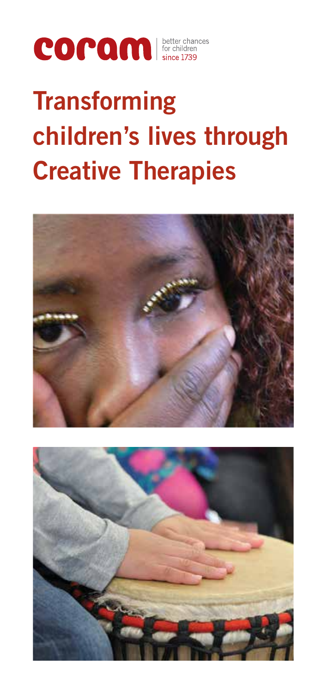

# **Transforming children's lives through Creative Therapies**



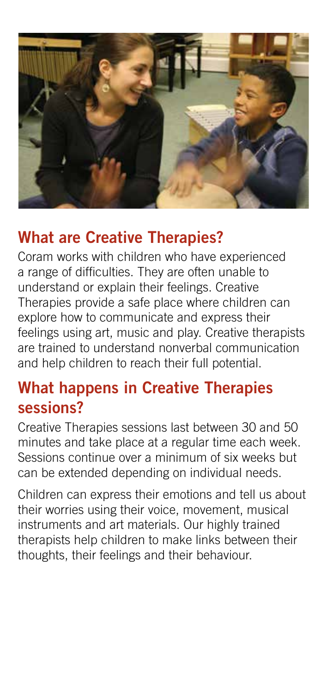

# **What are Creative Therapies?**

Coram works with children who have experienced a range of difficulties. They are often unable to understand or explain their feelings. Creative Therapies provide a safe place where children can explore how to communicate and express their feelings using art, music and play. Creative therapists are trained to understand nonverbal communication and help children to reach their full potential.

# **What happens in Creative Therapies sessions?**

Creative Therapies sessions last between 30 and 50 minutes and take place at a regular time each week. Sessions continue over a minimum of six weeks but can be extended depending on individual needs.

Children can express their emotions and tell us about their worries using their voice, movement, musical instruments and art materials. Our highly trained therapists help children to make links between their thoughts, their feelings and their behaviour.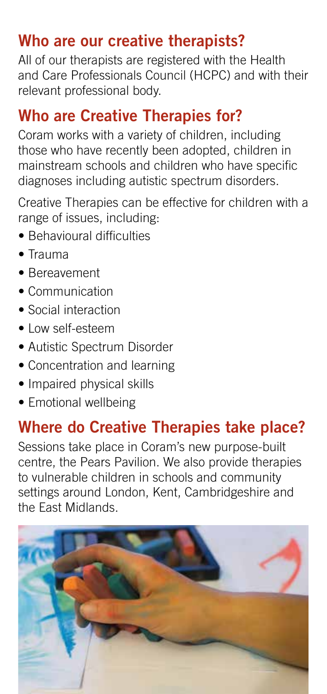# **Who are our creative therapists?**

All of our therapists are registered with the Health and Care Professionals Council (HCPC) and with their relevant professional body.

# **Who are Creative Therapies for?**

Coram works with a variety of children, including those who have recently been adopted, children in mainstream schools and children who have specific diagnoses including autistic spectrum disorders.

Creative Therapies can be effective for children with a range of issues, including:

- Behavioural difficulties
- Trauma
- Bereavement
- Communication
- Social interaction
- Low self-esteem
- Autistic Spectrum Disorder
- Concentration and learning
- Impaired physical skills
- Emotional wellbeing

## **Where do Creative Therapies take place?**

Sessions take place in Coram's new purpose-built centre, the Pears Pavilion. We also provide therapies to vulnerable children in schools and community settings around London, Kent, Cambridgeshire and the East Midlands.